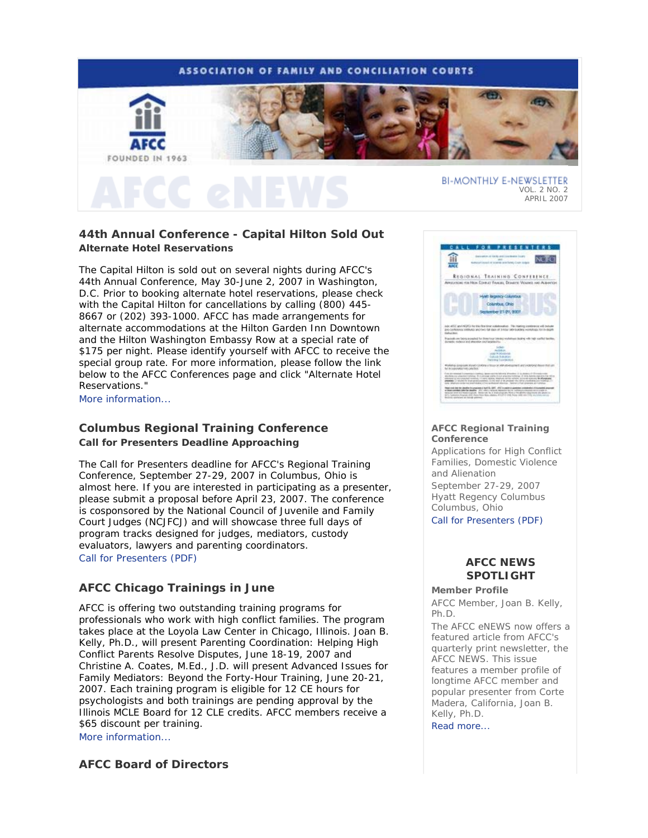# **ASSOCIATION OF FAMILY AND CONCILIATION COURTS**



# **44th Annual Conference - Capital Hilton Sold Out Alternate Hotel Reservations**

The Capital Hilton is sold out on several nights during AFCC's 44th Annual Conference, May 30-June 2, 2007 in Washington, D.C. Prior to booking alternate hotel reservations, please check with the Capital Hilton for cancellations by calling (800) 445- 8667 or (202) 393-1000. AFCC has made arrangements for alternate accommodations at the Hilton Garden Inn Downtown and the Hilton Washington Embassy Row at a special rate of \$175 per night. Please identify yourself with AFCC to receive the special group rate. For more information, please follow the link below to the AFCC Conferences page and click "Alternate Hotel Reservations."

More information...

# **Columbus Regional Training Conference Call for Presenters Deadline Approaching**

The Call for Presenters deadline for AFCC's Regional Training Conference, September 27-29, 2007 in Columbus, Ohio is almost here. If you are interested in participating as a presenter, please submit a proposal before April 23, 2007. The conference is cosponsored by the National Council of Juvenile and Family Court Judges (NCJFCJ) and will showcase three full days of program tracks designed for judges, mediators, custody evaluators, lawyers and parenting coordinators. Call for Presenters (PDF)

# **AFCC Chicago Trainings in June**

AFCC is offering two outstanding training programs for professionals who work with high conflict families. The program takes place at the Loyola Law Center in Chicago, Illinois. Joan B. Kelly, Ph.D., will present *Parenting Coordination: Helping High Conflict Parents Resolve Disputes*, June 18-19, 2007 and Christine A. Coates, M.Ed., J.D. will present *Advanced Issues for Family Mediators: Beyond the Forty-Hour Training*, June 20-21, 2007. Each training program is eligible for 12 CE hours for psychologists and both trainings are pending approval by the Illinois MCLE Board for 12 CLE credits. AFCC members receive a \$65 discount per training. More information...

**AFCC Board of Directors**



### **AFCC Regional Training Conference**

*Applications for High Conflict Families, Domestic Violence and Alienation* September 27-29, 2007 Hyatt Regency Columbus Columbus, Ohio

Call for Presenters (PDF)

# **AFCC NEWS SPOTLIGHT**

**Member Profile**

*AFCC Member, Joan B. Kelly, Ph.D.*

The *AFCC eNEWS* now offers a featured article from AFCC's quarterly print newsletter, the *AFCC NEWS*. This issue features a member profile of longtime AFCC member and popular presenter from Corte Madera, California, Joan B. Kelly, Ph.D.

Read more...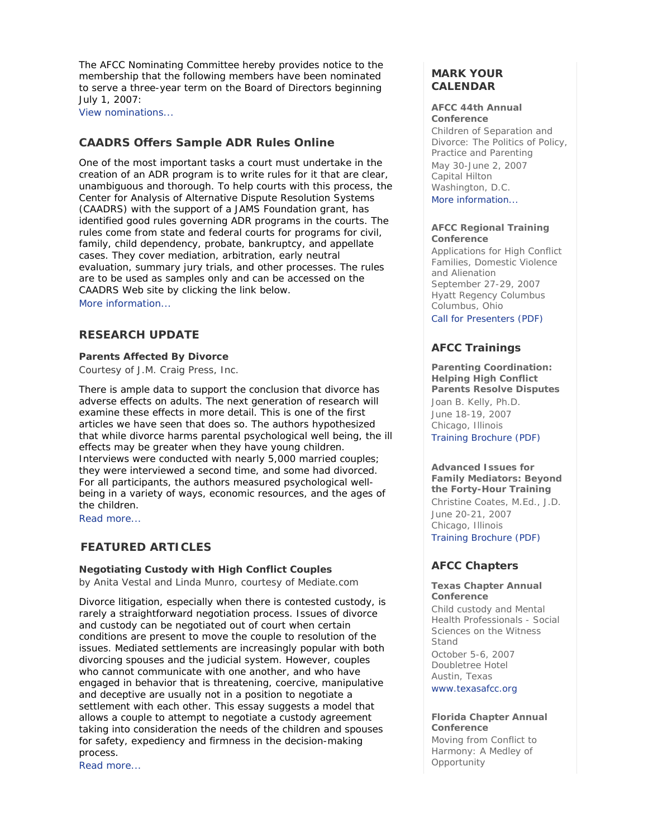The AFCC Nominating Committee hereby provides notice to the membership that the following members have been nominated to serve a three-year term on the Board of Directors beginning July 1, 2007:

View nominations...

# **CAADRS Offers Sample ADR Rules Online**

One of the most important tasks a court must undertake in the creation of an ADR program is to write rules for it that are clear, unambiguous and thorough. To help courts with this process, the Center for Analysis of Alternative Dispute Resolution Systems (CAADRS) with the support of a JAMS Foundation grant, has identified good rules governing ADR programs in the courts. The rules come from state and federal courts for programs for civil, family, child dependency, probate, bankruptcy, and appellate cases. They cover mediation, arbitration, early neutral evaluation, summary jury trials, and other processes. The rules are to be used as samples only and can be accessed on the CAADRS Web site by clicking the link below. More information...

# **RESEARCH UPDATE**

### **Parents Affected By Divorce**

*Courtesy of J.M. Craig Press, Inc.*

There is ample data to support the conclusion that divorce has adverse effects on adults. The next generation of research will examine these effects in more detail. This is one of the first articles we have seen that does so. The authors hypothesized that while divorce harms parental psychological well being, the ill effects may be greater when they have young children. Interviews were conducted with nearly 5,000 married couples; they were interviewed a second time, and some had divorced. For all participants, the authors measured psychological wellbeing in a variety of ways, economic resources, and the ages of the children.

Read more...

# **FEATURED ARTICLES**

# **Negotiating Custody with High Conflict Couples**

*by Anita Vestal and Linda Munro, courtesy of Mediate.com*

Divorce litigation, especially when there is contested custody, is rarely a straightforward negotiation process. Issues of divorce and custody can be negotiated out of court when certain conditions are present to move the couple to resolution of the issues. Mediated settlements are increasingly popular with both divorcing spouses and the judicial system. However, couples who cannot communicate with one another, and who have engaged in behavior that is threatening, coercive, manipulative and deceptive are usually not in a position to negotiate a settlement with each other. This essay suggests a model that allows a couple to attempt to negotiate a custody agreement taking into consideration the needs of the children and spouses for safety, expediency and firmness in the decision-making process.

Read more...

# **MARK YOUR CALENDAR**

### **AFCC 44th Annual Conference**

*Children of Separation and Divorce: The Politics of Policy, Practice and Parenting* May 30-June 2, 2007 Capital Hilton Washington, D.C. More information...

### **AFCC Regional Training Conference**

*Applications for High Conflict Families, Domestic Violence and Alienation*  September 27-29, 2007 Hyatt Regency Columbus Columbus, Ohio Call for Presenters (PDF)

# **AFCC Trainings**

**Parenting Coordination: Helping High Conflict Parents Resolve Disputes** *Joan B. Kelly, Ph.D.* June 18-19, 2007 Chicago, Illinois Training Brochure (PDF)

**Advanced Issues for Family Mediators: Beyond the Forty-Hour Training** *Christine Coates, M.Ed., J.D.* June 20-21, 2007 Chicago, Illinois Training Brochure (PDF)

# **AFCC Chapters**

### **Texas Chapter Annual Conference**

*Child custody and Mental Health Professionals - Social Sciences on the Witness Stand* 

October 5-6, 2007 Doubletree Hotel Austin, Texas

www.texasafcc.org

## **Florida Chapter Annual Conference**

*Moving from Conflict to Harmony: A Medley of Opportunity*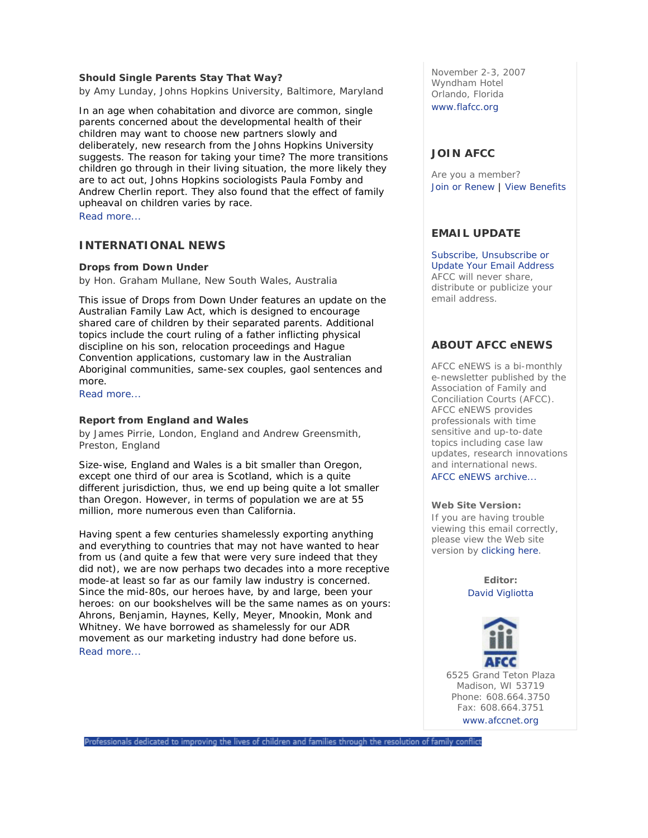### **Should Single Parents Stay That Way?**

*by Amy Lunday, Johns Hopkins University, Baltimore, Maryland*

In an age when cohabitation and divorce are common, single parents concerned about the developmental health of their children may want to choose new partners slowly and deliberately, new research from the Johns Hopkins University suggests. The reason for taking your time? The more transitions children go through in their living situation, the more likely they are to act out, Johns Hopkins sociologists Paula Fomby and Andrew Cherlin report. They also found that the effect of family upheaval on children varies by race.

Read more...

# **INTERNATIONAL NEWS**

### **Drops from Down Under**

*by Hon. Graham Mullane, New South Wales, Australia*

This issue of *Drops from Down Under* features an update on the Australian Family Law Act, which is designed to encourage shared care of children by their separated parents. Additional topics include the court ruling of a father inflicting physical discipline on his son, relocation proceedings and Hague Convention applications, customary law in the Australian Aboriginal communities, same-sex couples, gaol sentences and more.

Read more...

### **Report from England and Wales**

*by James Pirrie, London, England and Andrew Greensmith, Preston, England*

Size-wise, England and Wales is a bit smaller than Oregon, except one third of our area is Scotland, which is a quite different jurisdiction, thus, we end up being quite a lot smaller than Oregon. However, in terms of population we are at 55 million, more numerous even than California.

Having spent a few centuries shamelessly exporting anything and everything to countries that may not have wanted to hear from us (and quite a few that were very sure indeed that they did not), we are now perhaps two decades into a more receptive mode-at least so far as our family law industry is concerned. Since the mid-80s, our heroes have, by and large, been your heroes: on our bookshelves will be the same names as on yours: Ahrons, Benjamin, Haynes, Kelly, Meyer, Mnookin, Monk and Whitney. We have borrowed as shamelessly for our ADR movement as our marketing industry had done before us. Read more...

November 2-3, 2007 Wyndham Hotel Orlando, Florida www.flafcc.org

## **JOIN AFCC**

Are you a member? Join or Renew | View Benefits

# **EMAIL UPDATE**

Subscribe, Unsubscribe or Update Your Email Address AFCC will never share, distribute or publicize your email address.

# **ABOUT AFCC eNEWS**

*AFCC eNEWS* is a bi-monthly e-newsletter published by the Association of Family and Conciliation Courts (AFCC). *AFCC eNEWS* provides professionals with time sensitive and up-to-date topics including case law updates, research innovations and international news. AFCC eNEWS archive...

### **Web Site Version:**

If you are having trouble viewing this email correctly, please view the Web site version by clicking here.

> **Editor:** David Vigliotta



Madison, WI 53719 Phone: 608.664.3750 Fax: 608.664.3751 www.afccnet.org

Professionals dedicated to improving the lives of children and families through the resolution of family conflict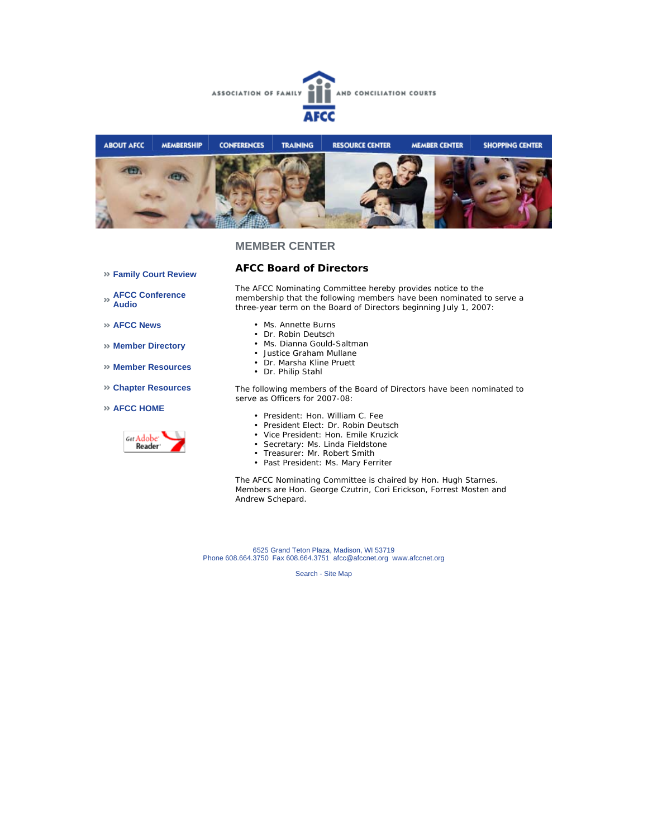



**Family Court Review** 

# **AFCC Board of Directors**

**AFCC Conference Audio** 

**AFCC News** 

- **Member Directory**
- **Member Resources**
- **Chapter Resources**

### **AFCC HOME**



The AFCC Nominating Committee hereby provides notice to the membership that the following members have been nominated to serve a three-year term on the Board of Directors beginning July 1, 2007:

- Ms. Annette Burns
- Dr. Robin Deutsch
- Ms. Dianna Gould-Saltman
- Justice Graham Mullane
- Dr. Marsha Kline Pruett
- Dr. Philip Stahl

The following members of the Board of Directors have been nominated to serve as Officers for 2007-08:

- President: Hon. William C. Fee
- President Elect: Dr. Robin Deutsch
- Vice President: Hon. Emile Kruzick
- Secretary: Ms. Linda Fieldstone
- Treasurer: Mr. Robert Smith
- Past President: Ms. Mary Ferriter

The AFCC Nominating Committee is chaired by Hon. Hugh Starnes. Members are Hon. George Czutrin, Cori Erickson, Forrest Mosten and Andrew Schepard.

6525 Grand Teton Plaza, Madison, WI 53719 Phone 608.664.3750 Fax 608.664.3751 afcc@afccnet.org www.afccnet.org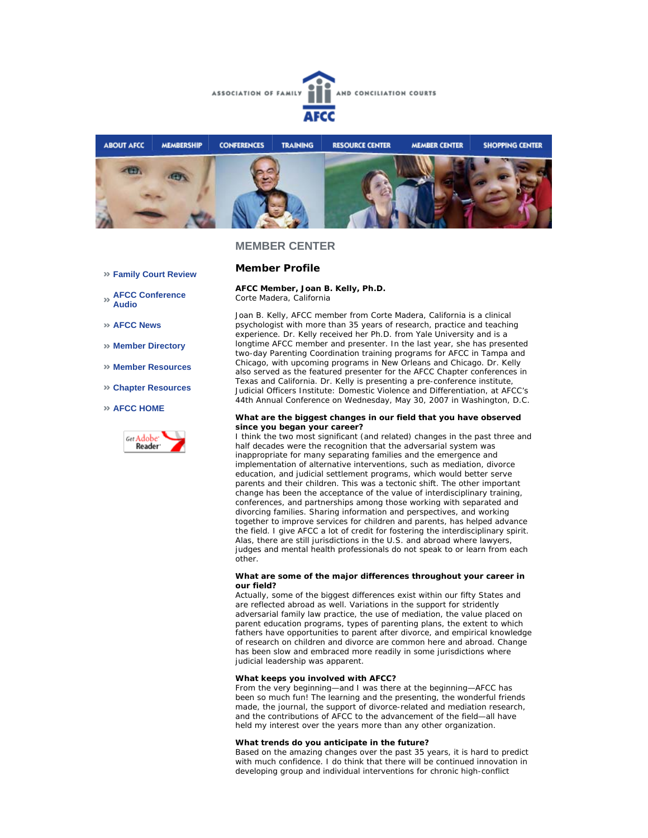



**AFCC Member, Joan B. Kelly, Ph.D.**

**Member Profile**

### **Family Court Review**

**AFCC Conference Audio** 

**AFCC News** 

- **Member Directory**
- **Member Resources**
- **Chapter Resources**

#### **AFCC HOME**



Corte Madera, California Joan B. Kelly, AFCC member from Corte Madera, California is a clinical psychologist with more than 35 years of research, practice and teaching experience. Dr. Kelly received her Ph.D. from Yale University and is a longtime AFCC member and presenter. In the last year, she has presented two-day Parenting Coordination training programs for AFCC in Tampa and Chicago, with upcoming programs in New Orleans and Chicago. Dr. Kelly also served as the featured presenter for the AFCC Chapter conferences in

Texas and California. Dr. Kelly is presenting a pre-conference institute, Judicial Officers Institute: Domestic Violence and Differentiation, at AFCC's 44th Annual Conference on Wednesday, May 30, 2007 in Washington, D.C.

#### **What are the biggest changes in our field that you have observed since you began your career?**

I think the two most significant (and related) changes in the past three and half decades were the recognition that the adversarial system was inappropriate for many separating families and the emergence and implementation of alternative interventions, such as mediation, divorce education, and judicial settlement programs, which would better serve parents and their children. This was a tectonic shift. The other important change has been the acceptance of the value of interdisciplinary training, conferences, and partnerships among those working with separated and divorcing families. Sharing information and perspectives, and working together to improve services for children and parents, has helped advance the field. I give AFCC a lot of credit for fostering the interdisciplinary spirit. Alas, there are still jurisdictions in the U.S. and abroad where lawyers, judges and mental health professionals do not speak to or learn from each other.

#### **What are some of the major differences throughout your career in our field?**

Actually, some of the biggest differences exist within our fifty States and are reflected abroad as well. Variations in the support for stridently adversarial family law practice, the use of mediation, the value placed on parent education programs, types of parenting plans, the extent to which fathers have opportunities to parent after divorce, and empirical knowledge of research on children and divorce are common here and abroad. Change has been slow and embraced more readily in some jurisdictions where judicial leadership was apparent.

#### **What keeps you involved with AFCC?**

From the very beginning—and I was there at the beginning—AFCC has been so much fun! The learning and the presenting, the wonderful friends made, the journal, the support of divorce-related and mediation research, and the contributions of AFCC to the advancement of the field—all have held my interest over the years more than any other organization.

#### **What trends do you anticipate in the future?**

Based on the amazing changes over the past 35 years, it is hard to predict with much confidence. I do think that there will be continued innovation in developing group and individual interventions for chronic high-conflict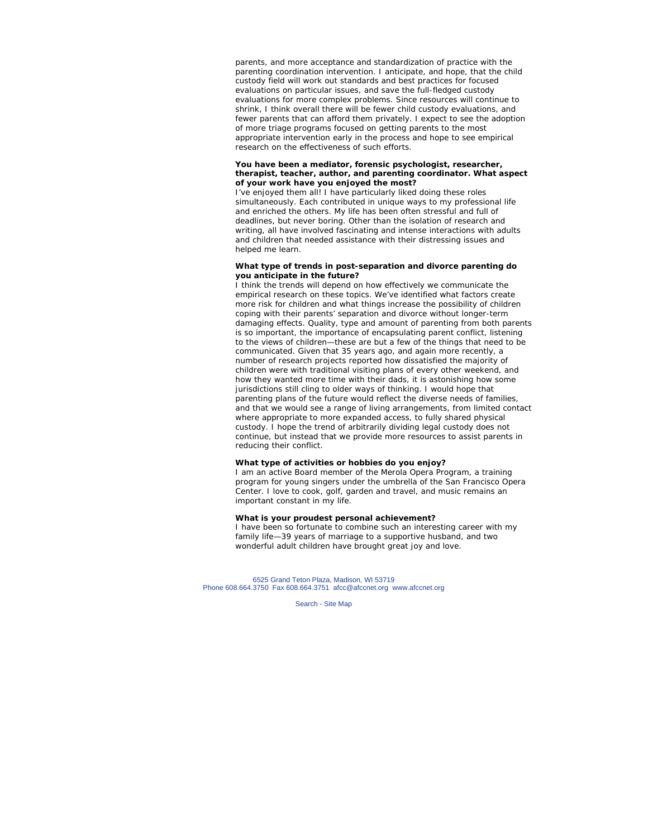parents, and more acceptance and standardization of practice with the parenting coordination intervention. I anticipate, and hope, that the child custody field will work out standards and best practices for focused evaluations on particular issues, and save the full-fledged custody evaluations for more complex problems. Since resources will continue to shrink, I think overall there will be fewer child custody evaluations, and fewer parents that can afford them privately. I expect to see the adoption of more triage programs focused on getting parents to the most appropriate intervention early in the process and hope to see empirical research on the effectiveness of such efforts.

#### **You have been a mediator, forensic psychologist, researcher, therapist, teacher, author, and parenting coordinator. What aspect of your work have you enjoyed the most?**

I've enjoyed them all! I have particularly liked doing these roles simultaneously. Each contributed in unique ways to my professional life and enriched the others. My life has been often stressful and full of deadlines, but never boring. Other than the isolation of research and writing, all have involved fascinating and intense interactions with adults and children that needed assistance with their distressing issues and helped me learn.

#### **What type of trends in post-separation and divorce parenting do you anticipate in the future?**

I think the trends will depend on how effectively we communicate the empirical research on these topics. We've identified what factors create more risk for children and what things increase the possibility of children coping with their parents' separation and divorce without longer-term damaging effects. Quality, type and amount of parenting from both parents is so important, the importance of encapsulating parent conflict, listening to the views of children—these are but a few of the things that need to be communicated. Given that 35 years ago, and again more recently, a number of research projects reported how dissatisfied the majority of children were with traditional visiting plans of every other weekend, and how they wanted more time with their dads, it is astonishing how some jurisdictions still cling to older ways of thinking. I would hope that parenting plans of the future would reflect the diverse needs of families, and that we would see a range of living arrangements, from limited contact where appropriate to more expanded access, to fully shared physical custody. I hope the trend of arbitrarily dividing legal custody does not continue, but instead that we provide more resources to assist parents in reducing their conflict.

#### **What type of activities or hobbies do you enjoy?**

I am an active Board member of the Merola Opera Program, a training program for young singers under the umbrella of the San Francisco Opera Center. I love to cook, golf, garden and travel, and music remains an important constant in my life.

### **What is your proudest personal achievement?**

I have been so fortunate to combine such an interesting career with my family life—39 years of marriage to a supportive husband, and two wonderful adult children have brought great joy and love.

6525 Grand Teton Plaza, Madison, WI 53719 Phone 608.664.3750 Fax 608.664.3751 afcc@afccnet.org www.afccnet.org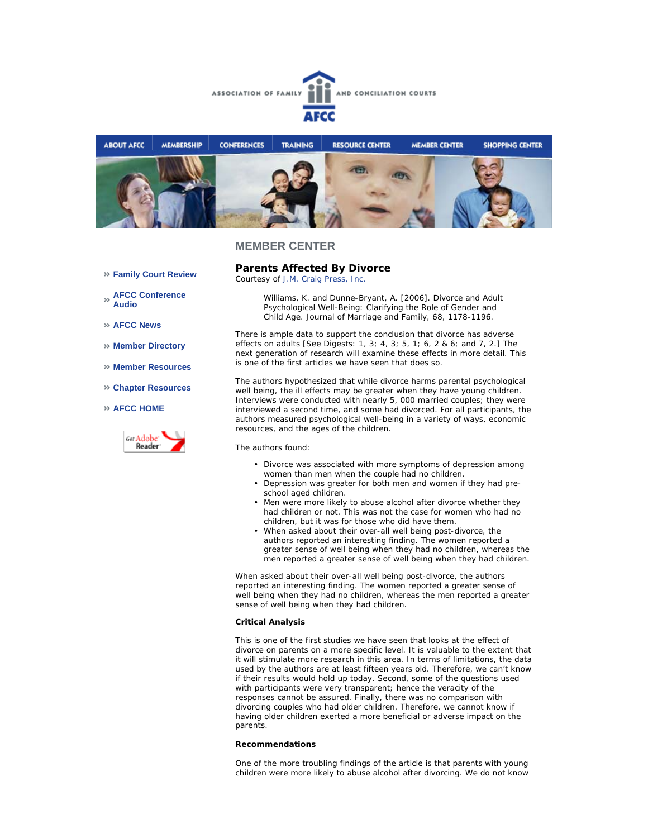



- **Family Court Review**
- **AFCC Conference Audio**
- **AFCC News**
- **Member Directory**
- **Member Resources**
- **Chapter Resources**
- **AFCC HOME**



**Parents Affected By Divorce** 

*Courtesy of J.M. Craig Press, Inc.*

Williams, K. and Dunne-Bryant, A. [2006]. Divorce and Adult Psychological Well-Being: Clarifying the Role of Gender and Child Age. Journal of Marriage and Family, 68, 1178-1196.

There is ample data to support the conclusion that divorce has adverse effects on adults [See Digests: 1, 3; 4, 3; 5, 1; 6, 2 & 6; and 7, 2.] The next generation of research will examine these effects in more detail. This is one of the first articles we have seen that does so.

The authors hypothesized that while divorce harms parental psychological well being, the ill effects may be greater when they have young children. Interviews were conducted with nearly 5, 000 married couples; they were interviewed a second time, and some had divorced. For all participants, the authors measured psychological well-being in a variety of ways, economic resources, and the ages of the children.

The authors found:

- Divorce was associated with more symptoms of depression among women than men when the couple had no children.
- Depression was greater for both men and women if they had pre-• school aged children.
- Men were more likely to abuse alcohol after divorce whether they had children or not. This was not the case for women who had no children, but it was for those who did have them. •
- When asked about their over-all well being post-divorce, the authors reported an interesting finding. The women reported a greater sense of well being when they had no children, whereas the men reported a greater sense of well being when they had children. •

When asked about their over-all well being post-divorce, the authors reported an interesting finding. The women reported a greater sense of well being when they had no children, whereas the men reported a greater sense of well being when they had children.

#### **Critical Analysis**

This is one of the first studies we have seen that looks at the effect of divorce on parents on a more specific level. It is valuable to the extent that it will stimulate more research in this area. In terms of limitations, the data used by the authors are at least fifteen years old. Therefore, we can't know if their results would hold up today. Second, some of the questions used with participants were very transparent; hence the veracity of the responses cannot be assured. Finally, there was no comparison with divorcing couples who had older children. Therefore, we cannot know if having older children exerted a more beneficial or adverse impact on the parents.

### **Recommendations**

One of the more troubling findings of the article is that parents with young children were more likely to abuse alcohol after divorcing. We do not know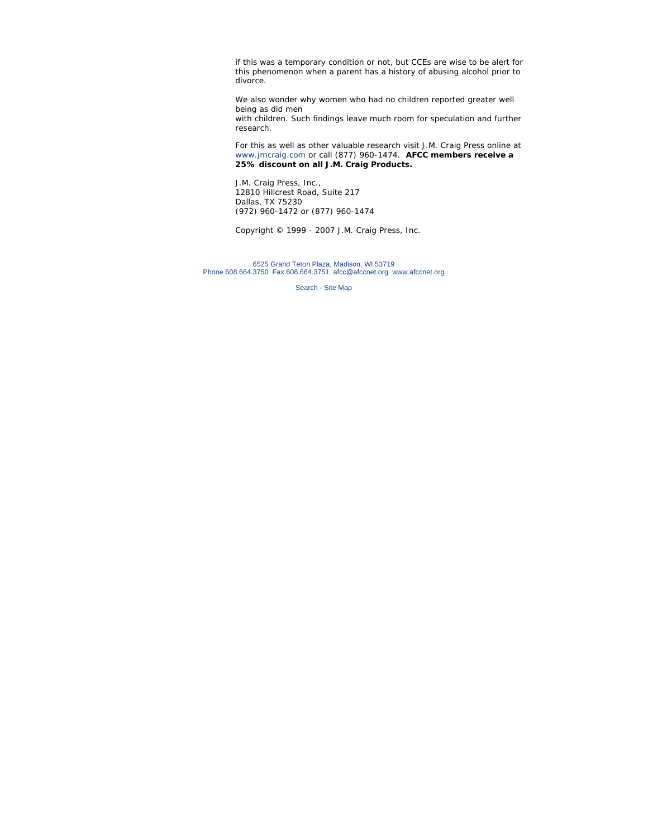if this was a temporary condition or not, but CCEs are wise to be alert for this phenomenon when a parent has a history of abusing alcohol prior to divorce.

We also wonder why women who had no children reported greater well being as did men with children. Such findings leave much room for speculation and further research.

For this as well as other valuable research visit J.M. Craig Press online at www.jmcraig.com or call (877) 960-1474. **AFCC members receive a 25% discount on all J.M. Craig Products.**

J.M. Craig Press, Inc., 12810 Hillcrest Road, Suite 217 Dallas, TX 75230 (972) 960-1472 or (877) 960-1474

*Copyright © 1999 - 2007 J.M. Craig Press, Inc.*

6525 Grand Teton Plaza, Madison, WI 53719 Phone 608.664.3750 Fax 608.664.3751 afcc@afccnet.org www.afccnet.org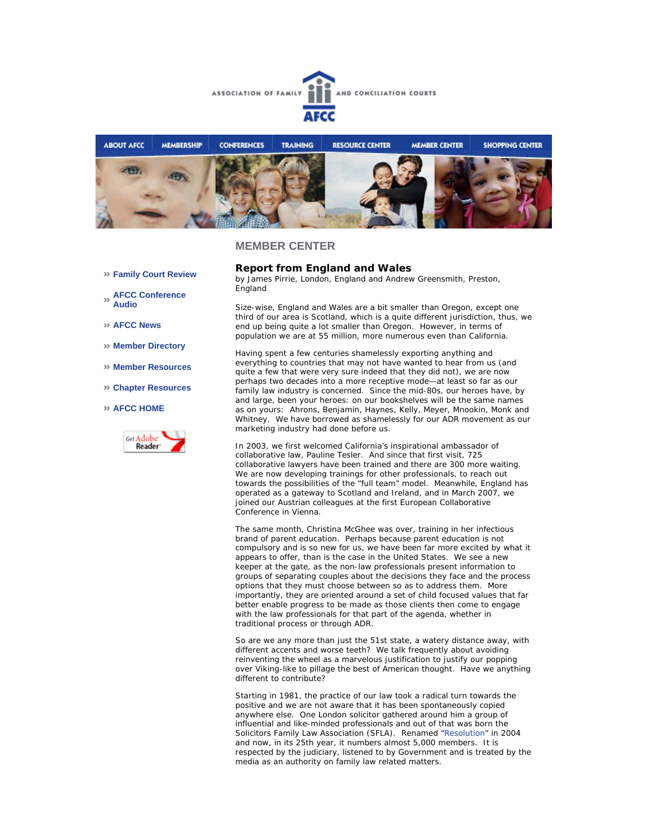



- **Family Court Review**
- **AFCC Conference Audio**
- **AFCC News**
- **Member Directory**
- **Member Resources**
- **Chapter Resources**
- **AFCC HOME**



### **Report from England and Wales**

*by James Pirrie, London, England and Andrew Greensmith, Preston, England*

Size-wise, England and Wales are a bit smaller than Oregon, except one third of our area is Scotland, which is a quite different jurisdiction, thus, we end up being quite a lot smaller than Oregon. However, in terms of population we are at 55 million, more numerous even than California.

Having spent a few centuries shamelessly exporting anything and everything to countries that may not have wanted to hear from us (and quite a few that were very sure indeed that they did not), we are now perhaps two decades into a more receptive mode—at least so far as our family law industry is concerned. Since the mid-80s, our heroes have, by and large, been your heroes: on our bookshelves will be the same names as on yours: Ahrons, Benjamin, Haynes, Kelly, Meyer, Mnookin, Monk and Whitney. We have borrowed as shamelessly for our ADR movement as our marketing industry had done before us.

In 2003, we first welcomed California's inspirational ambassador of collaborative law, Pauline Tesler. And since that first visit, 725 collaborative lawyers have been trained and there are 300 more waiting. We are now developing trainings for other professionals, to reach out towards the possibilities of the "full team" model. Meanwhile, England has operated as a gateway to Scotland and Ireland, and in March 2007, we joined our Austrian colleagues at the first European Collaborative Conference in Vienna.

The same month, Christina McGhee was over, training in her infectious brand of parent education. Perhaps because parent education is not compulsory and is so new for us, we have been far more excited by what it appears to offer, than is the case in the United States. We see a new keeper at the gate, as the non-law professionals present information to groups of separating couples about the decisions they face and the process options that they must choose between so as to address them. More importantly, they are oriented around a set of child focused values that far better enable progress to be made as those clients then come to engage with the law professionals for that part of the agenda, whether in traditional process or through ADR.

So are we any more than just the 51st state, a watery distance away, with different accents and worse teeth? We talk frequently about avoiding reinventing the wheel as a marvelous justification to justify our popping over Viking-like to pillage the best of American thought. Have we anything different to contribute?

Starting in 1981, the practice of our law took a radical turn towards the positive and we are not aware that it has been spontaneously copied anywhere else. One London solicitor gathered around him a group of influential and like-minded professionals and out of that was born the Solicitors Family Law Association (SFLA). Renamed "Resolution" in 2004 and now, in its 25th year, it numbers almost 5,000 members. It is respected by the judiciary, listened to by Government and is treated by the media as an authority on family law related matters.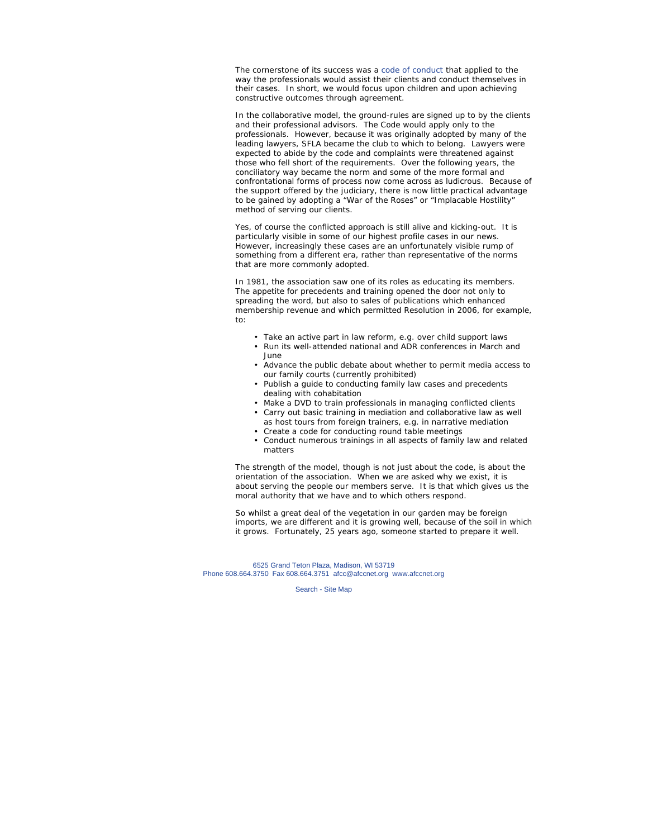The cornerstone of its success was a code of conduct that applied to the way the professionals would assist their clients and conduct themselves in their cases. In short, we would focus upon children and upon achieving constructive outcomes through agreement.

In the collaborative model, the ground-rules are signed up to by the clients and their professional advisors. The Code would apply only to the professionals. However, because it was originally adopted by many of the leading lawyers, SFLA became *the* club to which to belong. Lawyers were expected to abide by the code and complaints were threatened against those who fell short of the requirements. Over the following years, the conciliatory way became the norm and some of the more formal and confrontational forms of process now come across as ludicrous. Because of the support offered by the judiciary, there is now little practical advantage to be gained by adopting a "War of the Roses" or "Implacable Hostility" method of serving our clients.

Yes, of course the conflicted approach is still alive and kicking-out. It is particularly visible in some of our highest profile cases in our news. However, increasingly these cases are an unfortunately visible rump of something from a different era, rather than representative of the norms that are more commonly adopted.

In 1981, the association saw one of its roles as educating its members. The appetite for precedents and training opened the door not only to spreading the word, but also to sales of publications which enhanced membership revenue and which permitted Resolution in 2006, for example, to:

- Take an active part in law reform, e.g. over child support laws • Run its well-attended national and ADR conferences in March and
	- June
- Advance the public debate about whether to permit media access to our family courts (currently prohibited)
- Publish a guide to conducting family law cases and precedents dealing with cohabitation
- Make a DVD to train professionals in managing conflicted clients
- Carry out basic training in mediation and collaborative law as well as host tours from foreign trainers, e.g. in narrative mediation
- Create a code for conducting round table meetings
- Conduct numerous trainings in all aspects of family law and related matters

The strength of the model, though is not just about the code, is about the orientation of the association. When we are asked why we exist, it is about serving the people our members serve. It is that which gives us the moral authority that we have and to which others respond.

So whilst a great deal of the vegetation in our garden may be foreign imports, we are different and it is growing well, because of the soil in which it grows. Fortunately, 25 years ago, someone started to prepare it well.

6525 Grand Teton Plaza, Madison, WI 53719 Phone 608.664.3750 Fax 608.664.3751 afcc@afccnet.org www.afccnet.org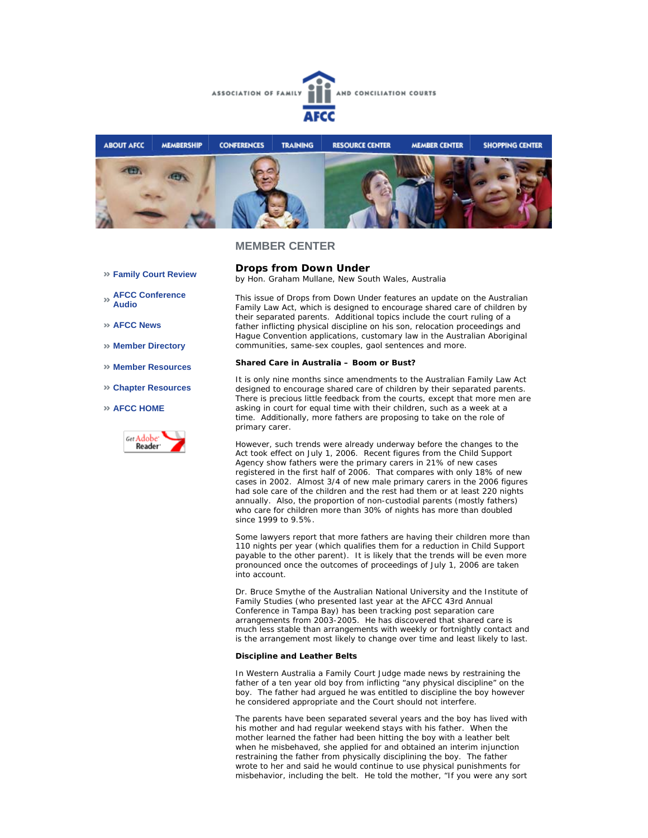



**Drops from Down Under**

- **Family Court Review**
- **AFCC Conference Audio**
- **AFCC News**
- **Member Directory**
- **Member Resources**
- **Chapter Resources**

#### **AFCC HOME**



This issue of *Drops from Down Under* features an update on the Australian Family Law Act, which is designed to encourage shared care of children by their separated parents. Additional topics include the court ruling of a father inflicting physical discipline on his son, relocation proceedings and Hague Convention applications, customary law in the Australian Aboriginal communities, same-sex couples, gaol sentences and more.

#### **Shared Care in Australia – Boom or Bust?**

*by Hon. Graham Mullane, New South Wales, Australia*

It is only nine months since amendments to the Australian Family Law Act designed to encourage shared care of children by their separated parents. There is precious little feedback from the courts, except that more men are asking in court for equal time with their children, such as a week at a time. Additionally, more fathers are proposing to take on the role of primary carer.

However, such trends were already underway before the changes to the Act took effect on July 1, 2006. Recent figures from the Child Support Agency show fathers were the primary carers in 21% of new cases registered in the first half of 2006. That compares with only 18% of new cases in 2002. Almost 3/4 of new male primary carers in the 2006 figures had sole care of the children and the rest had them or at least 220 nights annually. Also, the proportion of non-custodial parents (mostly fathers) who care for children more than 30% of nights has more than doubled since 1999 to 9.5%.

Some lawyers report that more fathers are having their children more than 110 nights per year (which qualifies them for a reduction in Child Support payable to the other parent). It is likely that the trends will be even more pronounced once the outcomes of proceedings of July 1, 2006 are taken into account.

Dr. Bruce Smythe of the Australian National University and the Institute of Family Studies (who presented last year at the AFCC 43rd Annual Conference in Tampa Bay) has been tracking post separation care arrangements from 2003-2005. He has discovered that shared care is much less stable than arrangements with weekly or fortnightly contact and is the arrangement most likely to change over time and least likely to last.

### **Discipline and Leather Belts**

In Western Australia a Family Court Judge made news by restraining the father of a ten year old boy from inflicting "any physical discipline" on the boy. The father had argued he was entitled to discipline the boy however he considered appropriate and the Court should not interfere.

The parents have been separated several years and the boy has lived with his mother and had regular weekend stays with his father. When the mother learned the father had been hitting the boy with a leather belt when he misbehaved, she applied for and obtained an interim injunction restraining the father from physically disciplining the boy. The father wrote to her and said he would continue to use physical punishments for misbehavior, including the belt. He told the mother, "If you were any sort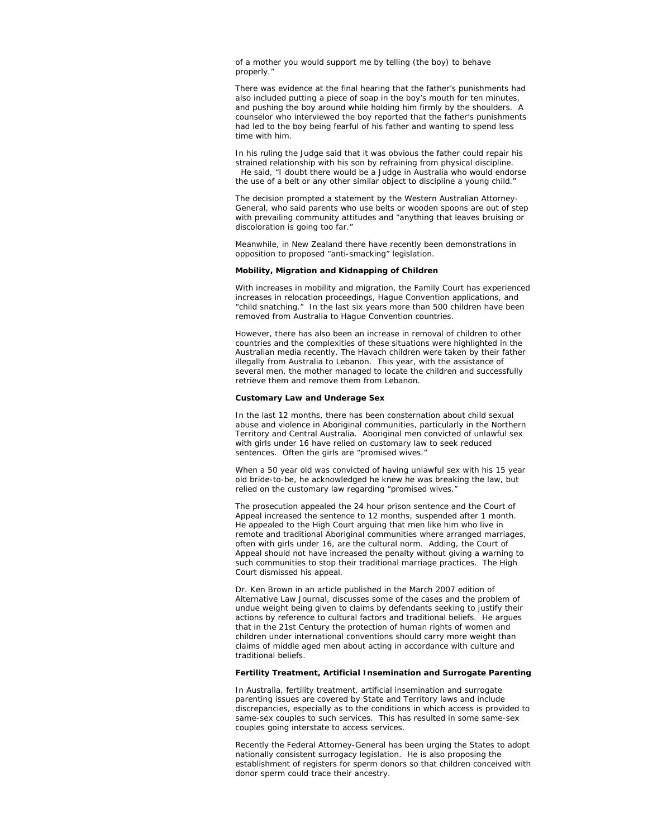of a mother you would support me by telling (the boy) to behave properly."

There was evidence at the final hearing that the father's punishments had also included putting a piece of soap in the boy's mouth for ten minutes, and pushing the boy around while holding him firmly by the shoulders. A counselor who interviewed the boy reported that the father's punishments had led to the boy being fearful of his father and wanting to spend less time with him.

In his ruling the Judge said that it was obvious the father could repair his strained relationship with his son by refraining from physical discipline. He said, "I doubt there would be a Judge in Australia who would endorse the use of a belt or any other similar object to discipline a young child."

The decision prompted a statement by the Western Australian Attorney-General, who said parents who use belts or wooden spoons are out of step with prevailing community attitudes and "anything that leaves bruising or discoloration is going too far."

Meanwhile, in New Zealand there have recently been demonstrations in opposition to proposed "anti-smacking" legislation.

#### **Mobility, Migration and Kidnapping of Children**

With increases in mobility and migration, the Family Court has experienced increases in relocation proceedings, Hague Convention applications, and "child snatching." In the last six years more than 500 children have been removed from Australia to Hague Convention countries.

However, there has also been an increase in removal of children to other countries and the complexities of these situations were highlighted in the Australian media recently. The Havach children were taken by their father illegally from Australia to Lebanon. This year, with the assistance of several men, the mother managed to locate the children and successfully retrieve them and remove them from Lebanon.

#### **Customary Law and Underage Sex**

In the last 12 months, there has been consternation about child sexual abuse and violence in Aboriginal communities, particularly in the Northern Territory and Central Australia. Aboriginal men convicted of unlawful sex with girls under 16 have relied on customary law to seek reduced sentences. Often the girls are "promised wives."

When a 50 year old was convicted of having unlawful sex with his 15 year old bride-to-be, he acknowledged he knew he was breaking the law, but relied on the customary law regarding "promised wives."

The prosecution appealed the 24 hour prison sentence and the Court of Appeal increased the sentence to 12 months, suspended after 1 month. He appealed to the High Court arguing that men like him who live in remote and traditional Aboriginal communities where arranged marriages, often with girls under 16, are the cultural norm. Adding, the Court of Appeal should not have increased the penalty without giving a warning to such communities to stop their traditional marriage practices. The High Court dismissed his appeal.

Dr. Ken Brown in an article published in the March 2007 edition of Alternative Law Journal, discusses some of the cases and the problem of undue weight being given to claims by defendants seeking to justify their actions by reference to cultural factors and traditional beliefs. He argues that in the 21st Century the protection of human rights of women and children under international conventions should carry more weight than claims of middle aged men about acting in accordance with culture and traditional beliefs.

#### **Fertility Treatment, Artificial Insemination and Surrogate Parenting**

In Australia, fertility treatment, artificial insemination and surrogate parenting issues are covered by State and Territory laws and include discrepancies, especially as to the conditions in which access is provided to same-sex couples to such services. This has resulted in some same-sex couples going interstate to access services.

Recently the Federal Attorney-General has been urging the States to adopt nationally consistent surrogacy legislation. He is also proposing the establishment of registers for sperm donors so that children conceived with donor sperm could trace their ancestry.